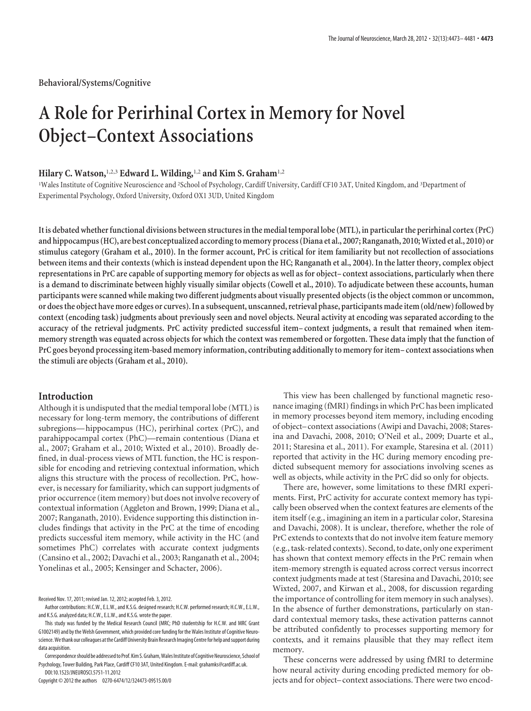**Behavioral/Systems/Cognitive**

# **A Role for Perirhinal Cortex in Memory for Novel Object–Context Associations**

## **Hilary C. Watson,**1,2,3 **Edward L. Wilding,**1,2 **and Kim S. Graham**1,2

<sup>1</sup>Wales Institute of Cognitive Neuroscience and <sup>2</sup>School of Psychology, Cardiff University, Cardiff CF10 3AT, United Kingdom, and <sup>3</sup>Department of Experimental Psychology, Oxford University, Oxford OX1 3UD, United Kingdom

**It is debated whether functional divisions between structures inthe medialtemporal lobe (MTL), in particularthe perirhinal cortex (PrC) and hippocampus (HC), are best conceptualized accordingto memory process (Diana et al., 2007; Ranganath, 2010;Wixted et al., 2010) or stimulus category (Graham et al., 2010). In the former account, PrC is critical for item familiarity but not recollection of associations between items and their contexts (which is instead dependent upon the HC; Ranganath et al., 2004). In the latter theory, complex object representations in PrC are capable of supporting memory for objects as well as for object– context associations, particularly when there is a demand to discriminate between highly visually similar objects (Cowell et al., 2010). To adjudicate between these accounts, human participants were scanned while making two different judgments about visually presented objects (is the object common or uncommon, or doesthe object have more edges or curves). In a subsequent, unscanned, retrieval phase, participants made item (old/new)followed by context (encoding task) judgments about previously seen and novel objects. Neural activity at encoding was separated according to the accuracy of the retrieval judgments. PrC activity predicted successful item– context judgments, a result that remained when itemmemory strength was equated across objects for which the context was remembered or forgotten. These data imply that the function of PrC goes beyond processing item-based memory information, contributing additionally to memory for item– context associations when the stimuli are objects (Graham et al., 2010).**

# **Introduction**

Although it is undisputed that the medial temporal lobe (MTL) is necessary for long-term memory, the contributions of different subregions— hippocampus (HC), perirhinal cortex (PrC), and parahippocampal cortex (PhC)—remain contentious (Diana et al., 2007; Graham et al., 2010; Wixted et al., 2010). Broadly defined, in dual-process views of MTL function, the HC is responsible for encoding and retrieving contextual information, which aligns this structure with the process of recollection. PrC, however, is necessary for familiarity, which can support judgments of prior occurrence (item memory) but does not involve recovery of contextual information (Aggleton and Brown, 1999; Diana et al., 2007; Ranganath, 2010). Evidence supporting this distinction includes findings that activity in the PrC at the time of encoding predicts successful item memory, while activity in the HC (and sometimes PhC) correlates with accurate context judgments (Cansino et al., 2002; Davachi et al., 2003; Ranganath et al., 2004; Yonelinas et al., 2005; Kensinger and Schacter, 2006).

Copyright © 2012 the authors 0270-6474/12/324473-09\$15.00/0

This view has been challenged by functional magnetic resonance imaging (fMRI) findings in which PrC has been implicated in memory processes beyond item memory, including encoding of object– context associations (Awipi and Davachi, 2008; Staresina and Davachi, 2008, 2010; O'Neil et al., 2009; Duarte et al., 2011; Staresina et al., 2011). For example, Staresina et al. (2011) reported that activity in the HC during memory encoding predicted subsequent memory for associations involving scenes as well as objects, while activity in the PrC did so only for objects.

There are, however, some limitations to these fMRI experiments. First, PrC activity for accurate context memory has typically been observed when the context features are elements of the item itself (e.g., imagining an item in a particular color, Staresina and Davachi, 2008). It is unclear, therefore, whether the role of PrC extends to contexts that do not involve item feature memory (e.g., task-related contexts). Second, to date, only one experiment has shown that context memory effects in the PrC remain when item-memory strength is equated across correct versus incorrect context judgments made at test (Staresina and Davachi, 2010; see Wixted, 2007, and Kirwan et al., 2008, for discussion regarding the importance of controlling for item memory in such analyses). In the absence of further demonstrations, particularly on standard contextual memory tasks, these activation patterns cannot be attributed confidently to processes supporting memory for contexts, and it remains plausible that they may reflect item memory.

These concerns were addressed by using fMRI to determine how neural activity during encoding predicted memory for objects and for object– context associations. There were two encod-

Received Nov. 17, 2011; revised Jan. 12, 2012; accepted Feb. 3, 2012.

Author contributions: H.C.W., E.L.W., and K.S.G. designed research; H.C.W. performed research; H.C.W., E.L.W., and K.S.G. analyzed data; H.C.W., E.L.W., and K.S.G. wrote the paper.

This study was funded by the Medical Research Council (MRC; PhD studentship for H.C.W. and MRC Grant G1002149) and by the Welsh Government, which provided core funding for the Wales Institute of Cognitive Neuroscience.Wethank our colleagues atthe CardiffUniversity Brain Research Imaging Centrefor help andsupport during data acquisition.

Correspondence should be addressed to Prof. Kim S. Graham, Wales Institute of Cognitive Neuroscience, School of Psychology, Tower Building, Park Place, Cardiff CF10 3AT, United Kingdom. E-mail: grahamks@cardiff.ac.uk. DOI:10.1523/JNEUROSCI.5751-11.2012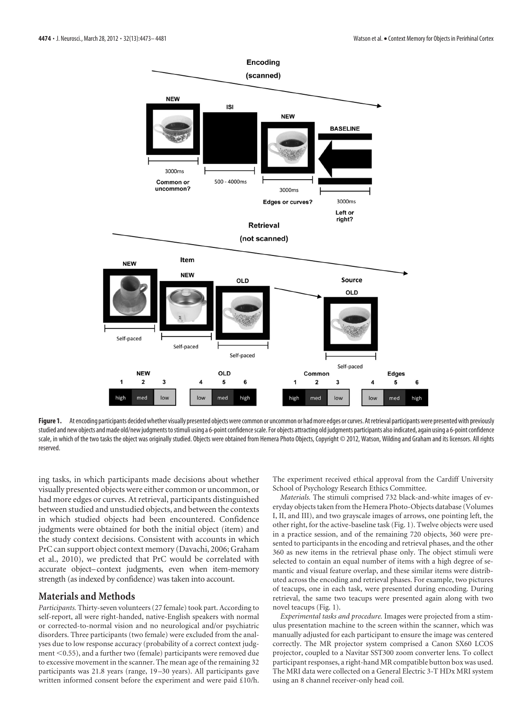

Figure 1. At encoding participants decided whether visually presented objects were common or uncommon or had more edges or curves. At retrieval participants were presented with previously studied and new objects and made old/new judgmentstostimuli using a 6-point confidencescale. For objects attracting old judgments participants also indicated, again using a 6-point confidence scale, in which of the two tasks the object was originally studied. Objects were obtained from Hemera Photo Objects, Copyright © 2012, Watson, Wilding and Graham and its licensors. All rights reserved.

ing tasks, in which participants made decisions about whether visually presented objects were either common or uncommon, or had more edges or curves. At retrieval, participants distinguished between studied and unstudied objects, and between the contexts in which studied objects had been encountered. Confidence judgments were obtained for both the initial object (item) and the study context decisions. Consistent with accounts in which PrC can support object context memory (Davachi, 2006; Graham et al., 2010), we predicted that PrC would be correlated with accurate object–context judgments, even when item-memory strength (as indexed by confidence) was taken into account.

# **Materials and Methods**

*Participants.* Thirty-seven volunteers (27 female) took part. According to self-report, all were right-handed, native-English speakers with normal or corrected-to-normal vision and no neurological and/or psychiatric disorders. Three participants (two female) were excluded from the analyses due to low response accuracy (probability of a correct context judg $ment < 0.55$ ), and a further two (female) participants were removed due to excessive movement in the scanner. The mean age of the remaining 32 participants was 21.8 years (range, 19 –30 years). All participants gave written informed consent before the experiment and were paid £10/h. The experiment received ethical approval from the Cardiff University School of Psychology Research Ethics Committee.

*Materials.* The stimuli comprised 732 black-and-white images of everyday objects taken from the Hemera Photo-Objects database (Volumes I, II, and III), and two grayscale images of arrows, one pointing left, the other right, for the active-baseline task (Fig. 1). Twelve objects were used in a practice session, and of the remaining 720 objects, 360 were presented to participants in the encoding and retrieval phases, and the other 360 as new items in the retrieval phase only. The object stimuli were selected to contain an equal number of items with a high degree of semantic and visual feature overlap, and these similar items were distributed across the encoding and retrieval phases. For example, two pictures of teacups, one in each task, were presented during encoding. During retrieval, the same two teacups were presented again along with two novel teacups (Fig. 1).

*Experimental tasks and procedure.* Images were projected from a stimulus presentation machine to the screen within the scanner, which was manually adjusted for each participant to ensure the image was centered correctly. The MR projector system comprised a Canon SX60 LCOS projector, coupled to a Navitar SST300 zoom converter lens. To collect participant responses, a right-hand MR compatible button box was used. The MRI data were collected on a General Electric 3-T HDx MRI system using an 8 channel receiver-only head coil.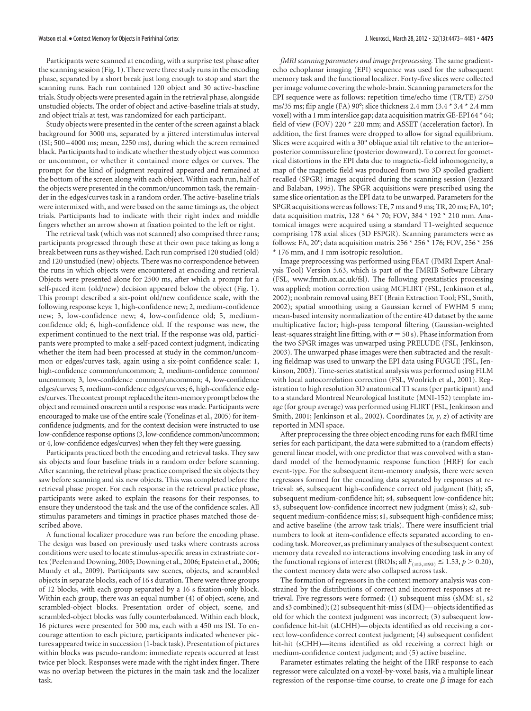Participants were scanned at encoding, with a surprise test phase after the scanning session (Fig. 1). There were three study runs in the encoding phase, separated by a short break just long enough to stop and start the scanning runs. Each run contained 120 object and 30 active-baseline trials. Study objects were presented again in the retrieval phase, alongside unstudied objects. The order of object and active-baseline trials at study, and object trials at test, was randomized for each participant.

Study objects were presented in the center of the screen against a black background for 3000 ms, separated by a jittered interstimulus interval (ISI; 500 – 4000 ms; mean, 2250 ms), during which the screen remained black. Participants had to indicate whether the study object was common or uncommon, or whether it contained more edges or curves. The prompt for the kind of judgment required appeared and remained at the bottom of the screen along with each object. Within each run, half of the objects were presented in the common/uncommon task, the remainder in the edges/curves task in a random order. The active-baseline trials were intermixed with, and were based on the same timings as, the object trials. Participants had to indicate with their right index and middle fingers whether an arrow shown at fixation pointed to the left or right.

The retrieval task (which was not scanned) also comprised three runs; participants progressed through these at their own pace taking as long a break between runs as they wished. Each run comprised 120 studied (old) and 120 unstudied (new) objects. There was no correspondence between the runs in which objects were encountered at encoding and retrieval. Objects were presented alone for 2500 ms, after which a prompt for a self-paced item (old/new) decision appeared below the object (Fig. 1). This prompt described a six-point old/new confidence scale, with the following response keys: 1, high-confidence new; 2, medium-confidence new; 3, low-confidence new; 4, low-confidence old; 5, mediumconfidence old; 6, high-confidence old. If the response was new, the experiment continued to the next trial. If the response was old, participants were prompted to make a self-paced context judgment, indicating whether the item had been processed at study in the common/uncommon or edges/curves task, again using a six-point confidence scale: 1, high-confidence common/uncommon; 2, medium-confidence common/ uncommon; 3, low-confidence common/uncommon; 4, low-confidence edges/curves; 5, medium-confidence edges/curves; 6, high-confidence edges/curves. The context prompt replaced the item-memory prompt below the object and remained onscreen until a response was made. Participants were encouraged to make use of the entire scale (Yonelinas et al., 2005) for itemconfidence judgments, and for the context decision were instructed to use low-confidence response options (3, low-confidence common/uncommon; or 4, low-confidence edges/curves) when they felt they were guessing.

Participants practiced both the encoding and retrieval tasks. They saw six objects and four baseline trials in a random order before scanning. After scanning, the retrieval phase practice comprised the six objects they saw before scanning and six new objects. This was completed before the retrieval phase proper. For each response in the retrieval practice phase, participants were asked to explain the reasons for their responses, to ensure they understood the task and the use of the confidence scales. All stimulus parameters and timings in practice phases matched those described above.

A functional localizer procedure was run before the encoding phase. The design was based on previously used tasks where contrasts across conditions were used to locate stimulus-specific areas in extrastriate cortex (Peelen and Downing, 2005; Downing et al., 2006; Epstein et al., 2006; Mundy et al., 2009). Participants saw scenes, objects, and scrambled objects in separate blocks, each of 16 s duration. There were three groups of 12 blocks, with each group separated by a 16 s fixation-only block. Within each group, there was an equal number (4) of object, scene, and scrambled-object blocks. Presentation order of object, scene, and scrambled-object blocks was fully counterbalanced. Within each block, 16 pictures were presented for 300 ms, each with a 450 ms ISI. To encourage attention to each picture, participants indicated whenever pictures appeared twice in succession (1-back task). Presentation of pictures within blocks was pseudo-random: immediate repeats occurred at least twice per block. Responses were made with the right index finger. There was no overlap between the pictures in the main task and the localizer task.

*fMRI scanning parameters and image preprocessing.* The same gradientecho echoplanar imaging (EPI) sequence was used for the subsequent memory task and the functional localizer. Forty-five slices were collected per image volume covering the whole-brain. Scanning parameters for the EPI sequence were as follows: repetition time/echo time (TR/TE) 2750 ms/35 ms; flip angle (FA) 90°; slice thickness 2.4 mm (3.4 \* 3.4 \* 2.4 mm voxel) with a 1 mm interslice gap; data acquisition matrix GE-EPI 64 \* 64; field of view (FOV) 220 \* 220 mm; and ASSET (acceleration factor). In addition, the first frames were dropped to allow for signal equilibrium. Slices were acquired with a 30° oblique axial tilt relative to the anterior– posterior commissure line (posterior downward). To correct for geometrical distortions in the EPI data due to magnetic-field inhomogeneity, a map of the magnetic field was produced from two 3D spoiled gradient recalled (SPGR) images acquired during the scanning session (Jezzard and Balaban, 1995). The SPGR acquisitions were prescribed using the same slice orientation as the EPI data to be unwarped. Parameters for the SPGR acquisitions were as follows: TE, 7 ms and 9 ms; TR, 20 ms; FA, 10°; data acquisition matrix, 128 \* 64 \* 70; FOV, 384 \* 192 \* 210 mm. Anatomical images were acquired using a standard T1-weighted sequence comprising 178 axial slices (3D FSPGR). Scanning parameters were as follows: FA, 20°; data acquisition matrix 256 \* 256 \* 176; FOV, 256 \* 256 \* 176 mm, and 1 mm isotropic resolution.

Image preprocessing was performed using FEAT (FMRI Expert Analysis Tool) Version 5.63, which is part of the FMRIB Software Library (FSL, www.fmrib.ox.ac.uk/fsl). The following prestatistics processing was applied; motion correction using MCFLIRT (FSL, Jenkinson et al., 2002); nonbrain removal using BET (Brain Extraction Tool; FSL, Smith, 2002); spatial smoothing using a Gaussian kernel of FWHM 5 mm; mean-based intensity normalization of the entire 4D dataset by the same multiplicative factor; high-pass temporal filtering (Gaussian-weighted least-squares straight line fitting, with  $\sigma$  = 50 s). Phase information from the two SPGR images was unwarped using PRELUDE (FSL, Jenkinson, 2003). The unwarped phase images were then subtracted and the resulting fieldmap was used to unwarp the EPI data using FUGUE (FSL, Jenkinson, 2003). Time-series statistical analysis was performed using FILM with local autocorrelation correction (FSL, Woolrich et al., 2001). Registration to high resolution 3D anatomical T1 scans (per participant) and to a standard Montreal Neurological Institute (MNI-152) template image (for group average) was performed using FLIRT (FSL, Jenkinson and Smith, 2001; Jenkinson et al., 2002). Coordinates (*x, y, z*) of activity are reported in MNI space.

After preprocessing the three object encoding runs for each fMRI time series for each participant, the data were submitted to a (random effects) general linear model, with one predictor that was convolved with a standard model of the hemodynamic response function (HRF) for each event-type. For the subsequent item-memory analysis, there were seven regressors formed for the encoding data separated by responses at retrieval: s6, subsequent high-confidence correct old judgment (hit); s5, subsequent medium-confidence hit; s4, subsequent low-confidence hit; s3, subsequent low-confidence incorrect new judgment (miss); s2, subsequent medium-confidence miss; s1, subsequent high-confidence miss; and active baseline (the arrow task trials). There were insufficient trial numbers to look at item-confidence effects separated according to encoding task. Moreover, as preliminary analyses of the subsequent context memory data revealed no interactions involving encoding task in any of the functional regions of interest (fROIs; all  $F_{(\leq 3, \leq 93)} \leq 1.53, p > 0.20$ ), the context memory data were also collapsed across task.

The formation of regressors in the context memory analysis was constrained by the distributions of correct and incorrect responses at retrieval. Five regressors were formed: (1) subsequent miss (sMM: s1, s2 and s3 combined); (2) subsequent hit-miss (sHM)— objects identified as old for which the context judgment was incorrect; (3) subsequent lowconfidence hit-hit (sLCHH)— objects identified as old receiving a correct low-confidence correct context judgment; (4) subsequent confident hit-hit (sCHH)—items identified as old receiving a correct high or medium-confidence context judgment; and (5) active baseline.

Parameter estimates relating the height of the HRF response to each regressor were calculated on a voxel-by-voxel basis, via a multiple linear regression of the response-time course, to create one  $\beta$  image for each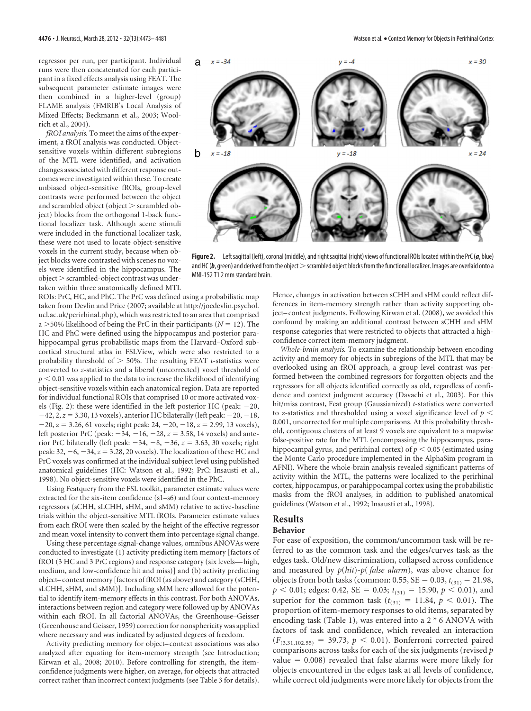regressor per run, per participant. Individual runs were then concatenated for each participant in a fixed effects analysis using FEAT. The subsequent parameter estimate images were then combined in a higher-level (group) FLAME analysis (FMRIB's Local Analysis of Mixed Effects; Beckmann et al., 2003; Woolrich et al., 2004).

*fROI analysis.* To meet the aims of the experiment, a fROI analysis was conducted. Objectsensitive voxels within different subregions of the MTL were identified, and activation changes associated with different response outcomes were investigated within these. To create unbiased object-sensitive fROIs, group-level contrasts were performed between the object and scrambled object (object  $>$  scrambled object) blocks from the orthogonal 1-back functional localizer task. Although scene stimuli were included in the functional localizer task, these were not used to locate object-sensitive voxels in the current study, because when object blocks were contrasted with scenes no voxels were identified in the hippocampus. The object > scrambled-object contrast was undertaken within three anatomically defined MTL



Figure 2. Left sagittal (left), coronal (middle), and right sagittal (right) views of functional ROIs located within the PrC (*a*, blue) and HC ( $b$ , green) and derived from the object  $>$  scrambled object blocks from the functional localizer. Images are overlaid onto a MNI-152 T1 2 mm standard brain.

ROIs: PrC, HC, and PhC. The PrC was defined using a probabilistic map taken from Devlin and Price (2007; available at http://joedevlin.psychol. ucl.ac.uk/perirhinal.php), which was restricted to an area that comprised  $a > 50\%$  likelihood of being the PrC in their participants ( $N = 12$ ). The HC and PhC were defined using the hippocampus and posterior parahippocampal gyrus probabilistic maps from the Harvard–Oxford subcortical structural atlas in FSLView, which were also restricted to a probability threshold of  $>$  50%. The resulting FEAT *t*-statistics were converted to *z*-statistics and a liberal (uncorrected) voxel threshold of  $p < 0.01$  was applied to the data to increase the likelihood of identifying object-sensitive voxels within each anatomical region. Data are reported for individual functional ROIs that comprised 10 or more activated voxels (Fig. 2): these were identified in the left posterior HC (peak:  $-20$ ,  $-42$ ,  $2$ ,  $z = 3.30$ , 13 voxels), anterior HC bilaterally (left peak:  $-20$ ,  $-18$ ,  $-20$ ,  $z = 3.26$ , 61 voxels; right peak: 24,  $-20$ ,  $-18$ ,  $z = 2.99$ , 13 voxels), left posterior PrC (peak:  $-34, -16, -28, z = 3.58, 14$  voxels) and anterior PrC bilaterally (left peak:  $-34, -8, -36, z = 3.63, 30$  voxels; right peak:  $32, -6, -34, z = 3.28, 20$  voxels). The localization of these HC and PrC voxels was confirmed at the individual subject level using published anatomical guidelines (HC: Watson et al., 1992; PrC: Insausti et al., 1998). No object-sensitive voxels were identified in the PhC.

Using Featquery from the FSL toolkit, parameter estimate values were extracted for the six-item confidence (s1–s6) and four context-memory regressors (sCHH, sLCHH, sHM, and sMM) relative to active-baseline trials within the object-sensitive MTL fROIs. Parameter estimate values from each fROI were then scaled by the height of the effective regressor and mean voxel intensity to convert them into percentage signal change.

Using these percentage signal-change values, omnibus ANOVAs were conducted to investigate (1) activity predicting item memory [factors of fROI (3 HC and 3 PrC regions) and response category (six levels— high, medium, and low-confidence hit and miss)] and (b) activity predicting object– context memory [factors of fROI (as above) and category (sCHH, sLCHH, sHM, and sMM)]. Including sMM here allowed for the potential to identify item-memory effects in this contrast. For both ANOVAs, interactions between region and category were followed up by ANOVAs within each fROI. In all factorial ANOVAs, the Greenhouse–Geisser (Greenhouse and Geisser, 1959) correction for nonsphericity was applied where necessary and was indicated by adjusted degrees of freedom.

Activity predicting memory for object– context associations was also analyzed after equating for item-memory strength (see Introduction; Kirwan et al., 2008; 2010). Before controlling for strength, the itemconfidence judgments were higher, on average, for objects that attracted correct rather than incorrect context judgments (see Table 3 for details).

Hence, changes in activation between sCHH and sHM could reflect differences in item-memory strength rather than activity supporting object– context judgments. Following Kirwan et al. (2008), we avoided this confound by making an additional contrast between sCHH and sHM response categories that were restricted to objects that attracted a highconfidence correct item-memory judgment.

*Whole-brain analysis.* To examine the relationship between encoding activity and memory for objects in subregions of the MTL that may be overlooked using an fROI approach, a group level contrast was performed between the combined regressors for forgotten objects and the regressors for all objects identified correctly as old, regardless of confidence and context judgment accuracy (Davachi et al., 2003). For this hit/miss contrast, Feat group (Gaussianized) *t*-statistics were converted to *z*-statistics and thresholded using a voxel significance level of  $p <$ 0.001, uncorrected for multiple comparisons. At this probability threshold, contiguous clusters of at least 9 voxels are equivalent to a mapwise false-positive rate for the MTL (encompassing the hippocampus, parahippocampal gyrus, and perirhinal cortex) of  $p\leq 0.05$  (estimated using the Monte Carlo procedure implemented in the AlphaSim program in AFNI). Where the whole-brain analysis revealed significant patterns of activity within the MTL, the patterns were localized to the perirhinal cortex, hippocampus, or parahippocampal cortex using the probabilistic masks from the fROI analyses, in addition to published anatomical guidelines (Watson et al., 1992; Insausti et al., 1998).

# **Results**

## **Behavior**

For ease of exposition, the common/uncommon task will be referred to as the common task and the edges/curves task as the edges task. Old/new discrimination, collapsed across confidence and measured by *p*(*hit*)*-p*( *false alarm*), was above chance for objects from both tasks (common: 0.55, SE =  $0.03$ ,  $t_{(31)} = 21.98$ ,  $p < 0.01$ ; edges: 0.42, SE = 0.03;  $t_{(31)} = 15.90, p < 0.01$ ), and superior for the common task  $(t_{(31)} = 11.84, p < 0.01)$ . The proportion of item-memory responses to old items, separated by encoding task (Table 1), was entered into a  $2 * 6$  ANOVA with factors of task and confidence, which revealed an interaction  $(F_{(3,31,102,55)} = 39.73, p < 0.01)$ . Bonferroni corrected paired comparisons across tasks for each of the six judgments (revised *p* value = 0.008) revealed that false alarms were more likely for objects encountered in the edges task at all levels of confidence, while correct old judgments were more likely for objects from the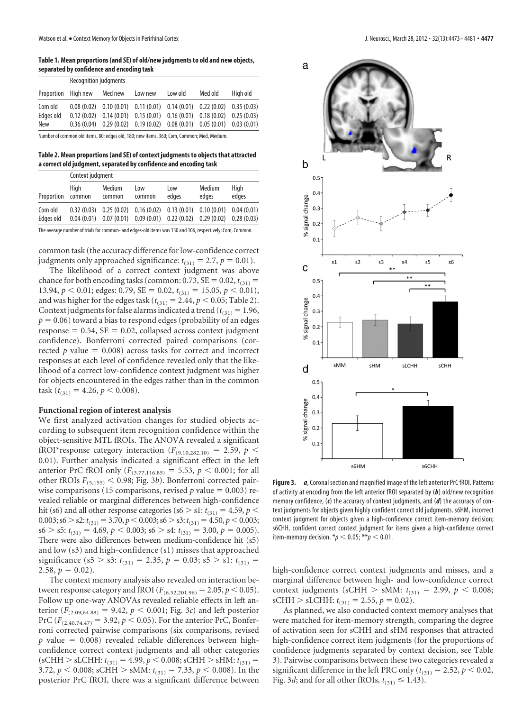**Table 1. Mean proportions (and SE) of old/new judgments to old and new objects, separated by confidence and encoding task**

| Proportion High new | <b>Recognition judgments</b> |         |                                                                               |         |         |          |  |
|---------------------|------------------------------|---------|-------------------------------------------------------------------------------|---------|---------|----------|--|
|                     |                              | Med new | Low new                                                                       | Low old | Med old | High old |  |
| Com old             |                              |         | $0.08(0.02)$ $0.10(0.01)$ $0.11(0.01)$ $0.14(0.01)$ $0.22(0.02)$ $0.35(0.03)$ |         |         |          |  |
| Edges old           |                              |         | $0.12(0.02)$ $0.14(0.01)$ $0.15(0.01)$ $0.16(0.01)$ $0.18(0.02)$ $0.25(0.03)$ |         |         |          |  |
| New                 |                              |         | $0.36(0.04)$ $0.29(0.02)$ $0.19(0.02)$ $0.08(0.01)$ $0.05(0.01)$ $0.03(0.01)$ |         |         |          |  |

Number of common old items, 80; edges old, 180; new items, 360; Com, Common; Med, Medium.

**Table 2. Mean proportions (and SE) of context judgments to objects that attracted a correct old judgment, separated by confidence and encoding task**

| Proportion | Context judgment |                  |                                                                                                          |              |                 |               |  |
|------------|------------------|------------------|----------------------------------------------------------------------------------------------------------|--------------|-----------------|---------------|--|
|            | Hiah<br>common   | Medium<br>common | Low<br>common                                                                                            | Low<br>edges | Medium<br>edges | High<br>edges |  |
| Com old    |                  |                  | $0.32(0.03)$ $0.25(0.02)$ $0.16(0.02)$ $0.13(0.01)$ $0.10(0.01)$                                         |              |                 | 0.04(0.01)    |  |
| Edaes old  |                  |                  | $0.04(0.01)$ $0.07(0.01)$ $0.09(0.01)$ $0.22(0.02)$ $0.29(0.02)$ $0.28(0.03)$                            |              |                 |               |  |
|            |                  |                  | The average number of trials for common- and edges-old items was 130 and 106, respectively; Com, Common. |              |                 |               |  |

common task (the accuracy difference for low-confidence correct judgments only approached significance:  $t_{(31)} = 2.7$ ,  $p = 0.01$ ).

The likelihood of a correct context judgment was above chance for both encoding tasks (common:  $0.73$ ,  $SE = 0.02$ ,  $t_{(31)} =$ 13.94,  $p < 0.01$ ; edges: 0.79, SE = 0.02,  $t_{(31)} = 15.05$ ,  $p < 0.01$ ), and was higher for the edges task ( $t_{(31)} = 2.44$ ,  $p < 0.05$ ; Table 2). Context judgments for false alarms indicated a trend ( $t_{(31)} = 1.96$ ,  $p = 0.06$ ) toward a bias to respond edges (probability of an edges  $response = 0.54$ ,  $SE = 0.02$ , collapsed across context judgment confidence). Bonferroni corrected paired comparisons (corrected  $p$  value  $= 0.008$ ) across tasks for correct and incorrect responses at each level of confidence revealed only that the likelihood of a correct low-confidence context judgment was higher for objects encountered in the edges rather than in the common  $\text{task }(t_{(31)} = 4.26, p < 0.008).$ 

### **Functional region of interest analysis**

We first analyzed activation changes for studied objects according to subsequent item recognition confidence within the object-sensitive MTL fROIs. The ANOVA revealed a significant fROI\*response category interaction ( $F_{(9,10,282,10)} = 2.59, p <$ 0.01). Further analysis indicated a significant effect in the left anterior PrC fROI only ( $F_{(3.77,116.85)} = 5.53$ ,  $p < 0.001$ ; for all other fROIs  $F_{(5,155)} < 0.98$ ; Fig. 3*b*). Bonferroni corrected pairwise comparisons (15 comparisons, revised  $p$  value = 0.003) revealed reliable or marginal differences between high-confidence hit (s6) and all other response categories (s6  $>$  s1:  $t_{(31)} = 4.59$ ,  $p$   $<$ 0.003; s6 > s2:  $t_{(31)} = 3.70$ ,  $p < 0.003$ ; s6 > s3:  $t_{(31)} = 4.50$ ,  $p < 0.003$ ;  $s6 > s5$ :  $t_{(31)} = 4.69$ ,  $p < 0.003$ ;  $s6 > s4$ :  $t_{(31)} = 3.00$ ,  $p = 0.005$ ). There were also differences between medium-confidence hit (s5) and low (s3) and high-confidence (s1) misses that approached significance (s5 > s3:  $t_{(31)} = 2.35$ ,  $p = 0.03$ ; s5 > s1:  $t_{(31)} =$  $2.58, p = 0.02$ .

The context memory analysis also revealed on interaction between response category and fROI ( $F_{(6.52,201.96)} = 2.05, p < 0.05$ ). Follow up one-way ANOVAs revealed reliable effects in left anterior  $(F_{(2.09,64.88)} = 9.42, p < 0.001;$  Fig. 3*c*) and left posterior PrC ( $F_{(2.40,74.47)} = 3.92, p < 0.05$ ). For the anterior PrC, Bonferroni corrected pairwise comparisons (six comparisons, revised  $p$  value = 0.008) revealed reliable differences between highconfidence correct context judgments and all other categories  $(sCHH > sLCHH: t_{(31)} = 4.99, p < 0.008; sCHH > sHM: t_{(31)} =$ 3.72,  $p < 0.008$ ; sCHH  $>$  sMM:  $t_{(31)} = 7.33$ ,  $p < 0.008$ ). In the posterior PrC fROI, there was a significant difference between



**Figure 3.** *a*, Coronal section and magnified image of the left anterior PrC fROI. Patterns of activity at encoding from the left anterior fROI separated by (*b*) old/new recognition memory confidence, (*c*) the accuracy of context judgments, and (*d*) the accuracy of context judgments for objects given highly confident correct old judgments. s6HM, incorrect context judgment for objects given a high-confidence correct item-memory decision; s6CHH, confident correct context judgment for items given a high-confidence correct item-memory decision.  $* p < 0.05; ** p < 0.01$ .

high-confidence correct context judgments and misses, and a marginal difference between high- and low-confidence correct context judgments (sCHH  $>$  sMM:  $t_{(31)} = 2.99$ ,  $p < 0.008$ ;  $\text{sCHH} > \text{sLCHH: } t_{(31)} = 2.55, p = 0.02$ .

As planned, we also conducted context memory analyses that were matched for item-memory strength, comparing the degree of activation seen for sCHH and sHM responses that attracted high-confidence correct item judgments (for the proportions of confidence judgments separated by context decision, see Table 3). Pairwise comparisons between these two categories revealed a significant difference in the left PRC only ( $t_{(31)} = 2.52$ ,  $p < 0.02$ , Fig. 3*d*; and for all other fROIs,  $t_{(31)} \leq 1.43$ ).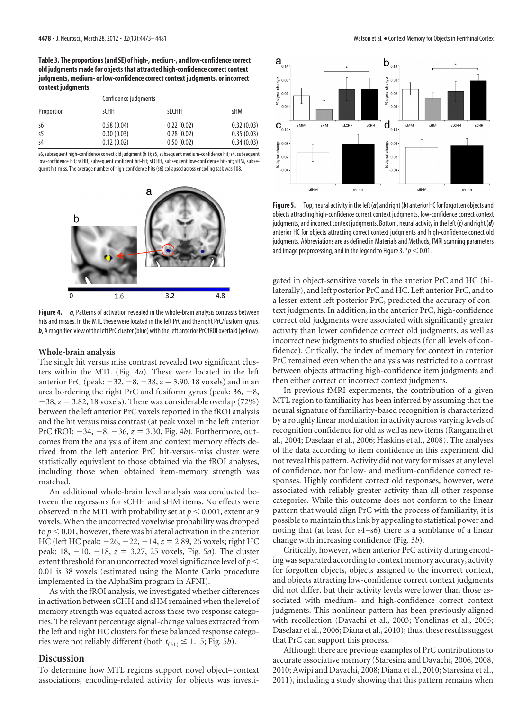**Table 3. The proportions (and SE) of high-, medium-, and low-confidence correct old judgments made for objects that attracted high-confidence correct context judgments, medium- or low-confidence correct context judgments, or incorrect context judgments**

| Proportion | Confidence judgments |              |            |
|------------|----------------------|--------------|------------|
|            | sCHH                 | <b>sLCHH</b> | sHM        |
| s6         | 0.58(0.04)           | 0.22(0.02)   | 0.32(0.03) |
| s5         | 0.30(0.03)           | 0.28(0.02)   | 0.35(0.03) |
| s4         | 0.12(0.02)           | 0.50(0.02)   | 0.34(0.03) |

s6,subsequent high-confidence correct old judgment (hit);s5,subsequent medium-confidence hit;s4,subsequent low-confidence hit; sCHH, subsequent confident hit-hit; sLCHH, subsequent low-confidence hit-hit; sHM, subsequent hit-miss. The average number of high-confidence hits (s6) collapsed across encoding task was 108.



**Figure 4.** *a*, Patterns of activation revealed in the whole-brain analysis contrasts between hits and misses. In the MTL these were located in the left PrC and the right PrC/fusiform gyrus. **b**, A magnified view of the left PrC cluster (blue) with the left anterior PrC fROI overlaid (yellow).

#### **Whole-brain analysis**

The single hit versus miss contrast revealed two significant clusters within the MTL (Fig. 4*a*). These were located in the left anterior PrC (peak:  $-32, -8, -38, z = 3.90, 18$  voxels) and in an area bordering the right PrC and fusiform gyrus (peak:  $36, -8$ ,  $-38$ ,  $z = 3.82$ , 18 voxels). There was considerable overlap (72%) between the left anterior PrC voxels reported in the fROI analysis and the hit versus miss contrast (at peak voxel in the left anterior PrC fROI:  $-34$ ,  $-8$ ,  $-36$ ,  $z = 3.30$ , Fig. 4*b*). Furthermore, outcomes from the analysis of item and context memory effects derived from the left anterior PrC hit-versus-miss cluster were statistically equivalent to those obtained via the fROI analyses, including those when obtained item-memory strength was matched.

An additional whole-brain level analysis was conducted between the regressors for sCHH and sHM items. No effects were observed in the MTL with probability set at  $p < 0.001$ , extent at 9 voxels. When the uncorrected voxelwise probability was dropped to  $p < 0.01$ , however, there was bilateral activation in the anterior HC (left HC peak:  $-26, -22, -14, z = 2.89, 26$  voxels; right HC peak: 18, 10, 18, *z* - 3.27, 25 voxels, Fig. 5*a*). The cluster extent threshold for an uncorrected voxel significance level of *p* 0.01 is 38 voxels (estimated using the Monte Carlo procedure implemented in the AlphaSim program in AFNI).

As with the fROI analysis, we investigated whether differences in activation between sCHH and sHM remained when the level of memory strength was equated across these two response categories. The relevant percentage signal-change values extracted from the left and right HC clusters for these balanced response categories were not reliably different (both  $t_{(31)} \leq 1.15$ ; Fig. 5*b*).

### **Discussion**

To determine how MTL regions support novel object– context associations, encoding-related activity for objects was investi-



Figure 5. Top, neural activity in the left (*a*) and right (*b*) anterior HC for forgotten objects and objects attracting high-confidence correct context judgments, low-confidence correct context judgments, and incorrect context judgments. Bottom, neural activity inthe left(*c*) andright(*d*) anterior HC for objects attracting correct context judgments and high-confidence correct old judgments. Abbreviations are as defined in Materials and Methods, fMRI scanning parameters and image preprocessing, and in the legend to Figure 3.  $p < 0.01$ .

gated in object-sensitive voxels in the anterior PrC and HC (bilaterally), and left posterior PrC and HC. Left anterior PrC, and to a lesser extent left posterior PrC, predicted the accuracy of context judgments. In addition, in the anterior PrC, high-confidence correct old judgments were associated with significantly greater activity than lower confidence correct old judgments, as well as incorrect new judgments to studied objects (for all levels of confidence). Critically, the index of memory for context in anterior PrC remained even when the analysis was restricted to a contrast between objects attracting high-confidence item judgments and then either correct or incorrect context judgments.

In previous fMRI experiments, the contribution of a given MTL region to familiarity has been inferred by assuming that the neural signature of familiarity-based recognition is characterized by a roughly linear modulation in activity across varying levels of recognition confidence for old as well as new items (Ranganath et al., 2004; Daselaar et al., 2006; Haskins et al., 2008). The analyses of the data according to item confidence in this experiment did not reveal this pattern. Activity did not vary for misses at any level of confidence, nor for low- and medium-confidence correct responses. Highly confident correct old responses, however, were associated with reliably greater activity than all other response categories. While this outcome does not conform to the linear pattern that would align PrC with the process of familiarity, it is possible to maintain this link by appealing to statistical power and noting that (at least for s4–s6) there is a semblance of a linear change with increasing confidence (Fig. 3*b*).

Critically, however, when anterior PrC activity during encoding was separated according to context memory accuracy, activity for forgotten objects, objects assigned to the incorrect context, and objects attracting low-confidence correct context judgments did not differ, but their activity levels were lower than those associated with medium- and high-confidence correct context judgments. This nonlinear pattern has been previously aligned with recollection (Davachi et al., 2003; Yonelinas et al., 2005; Daselaar et al., 2006; Diana et al., 2010); thus, these results suggest that PrC can support this process.

Although there are previous examples of PrC contributions to accurate associative memory (Staresina and Davachi, 2006, 2008, 2010; Awipi and Davachi, 2008; Diana et al., 2010; Staresina et al., 2011), including a study showing that this pattern remains when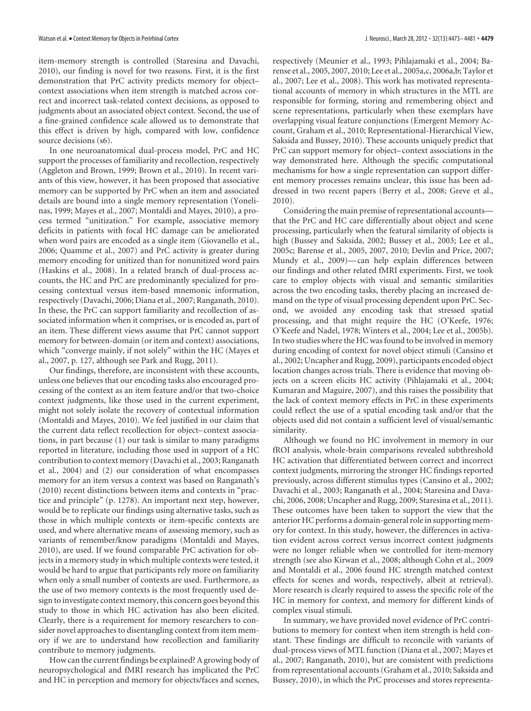item-memory strength is controlled (Staresina and Davachi, 2010), our finding is novel for two reasons. First, it is the first demonstration that PrC activity predicts memory for object– context associations when item strength is matched across correct and incorrect task-related context decisions, as opposed to judgments about an associated object context. Second, the use of a fine-grained confidence scale allowed us to demonstrate that this effect is driven by high, compared with low, confidence source decisions (s6).

In one neuroanatomical dual-process model, PrC and HC support the processes of familiarity and recollection, respectively (Aggleton and Brown, 1999; Brown et al., 2010). In recent variants of this view, however, it has been proposed that associative memory can be supported by PrC when an item and associated details are bound into a single memory representation (Yonelinas, 1999; Mayes et al., 2007; Montaldi and Mayes, 2010), a process termed "unitization." For example, associative memory deficits in patients with focal HC damage can be ameliorated when word pairs are encoded as a single item (Giovanello et al., 2006; Quamme et al., 2007) and PrC activity is greater during memory encoding for unitized than for nonunitized word pairs (Haskins et al., 2008). In a related branch of dual-process accounts, the HC and PrC are predominantly specialized for processing contextual versus item-based mnemonic information, respectively (Davachi, 2006; Diana et al., 2007; Ranganath, 2010). In these, the PrC can support familiarity and recollection of associated information when it comprises, or is encoded as, part of an item. These different views assume that PrC cannot support memory for between-domain (or item and context) associations, which "converge mainly, if not solely" within the HC (Mayes et al., 2007, p. 127, although see Park and Rugg, 2011).

Our findings, therefore, are inconsistent with these accounts, unless one believes that our encoding tasks also encouraged processing of the context as an item feature and/or that two-choice context judgments, like those used in the current experiment, might not solely isolate the recovery of contextual information (Montaldi and Mayes, 2010). We feel justified in our claim that the current data reflect recollection for object– context associations, in part because (1) our task is similar to many paradigms reported in literature, including those used in support of a HC contribution to context memory (Davachi et al., 2003; Ranganath et al., 2004) and (2) our consideration of what encompasses memory for an item versus a context was based on Ranganath's (2010) recent distinctions between items and contexts in "practice and principle" (p. 1278). An important next step, however, would be to replicate our findings using alternative tasks, such as those in which multiple contexts or item-specific contexts are used, and where alternative means of assessing memory, such as variants of remember/know paradigms (Montaldi and Mayes, 2010), are used. If we found comparable PrC activation for objects in a memory study in which multiple contexts were tested, it would be hard to argue that participants rely more on familiarity when only a small number of contexts are used. Furthermore, as the use of two memory contexts is the most frequently used design to investigate context memory, this concern goes beyond this study to those in which HC activation has also been elicited. Clearly, there is a requirement for memory researchers to consider novel approaches to disentangling context from item memory if we are to understand how recollection and familiarity contribute to memory judgments.

How can the current findings be explained? A growing body of neuropsychological and fMRI research has implicated the PrC and HC in perception and memory for objects/faces and scenes,

respectively (Meunier et al., 1993; Pihlajamaki et al., 2004; Barense et al., 2005, 2007, 2010; Lee et al., 2005a,c, 2006a,b; Taylor et al., 2007; Lee et al., 2008). This work has motivated representational accounts of memory in which structures in the MTL are responsible for forming, storing and remembering object and scene representations, particularly when these exemplars have overlapping visual feature conjunctions (Emergent Memory Account, Graham et al., 2010; Representational-Hierarchical View, Saksida and Bussey, 2010). These accounts uniquely predict that PrC can support memory for object– context associations in the way demonstrated here. Although the specific computational mechanisms for how a single representation can support different memory processes remains unclear, this issue has been addressed in two recent papers (Berry et al., 2008; Greve et al., 2010).

Considering the main premise of representational accounts that the PrC and HC care differentially about object and scene processing, particularly when the featural similarity of objects is high (Bussey and Saksida, 2002; Bussey et al., 2003; Lee et al., 2005c; Barense et al., 2005, 2007, 2010; Devlin and Price, 2007; Mundy et al., 2009)— can help explain differences between our findings and other related fMRI experiments. First, we took care to employ objects with visual and semantic similarities across the two encoding tasks, thereby placing an increased demand on the type of visual processing dependent upon PrC. Second, we avoided any encoding task that stressed spatial processing, and that might require the HC (O'Keefe, 1976; O'Keefe and Nadel, 1978; Winters et al., 2004; Lee et al., 2005b). In two studies where the HC was found to be involved in memory during encoding of context for novel object stimuli (Cansino et al., 2002; Uncapher and Rugg, 2009), participants encoded object location changes across trials. There is evidence that moving objects on a screen elicits HC activity (Pihlajamaki et al., 2004; Kumaran and Maguire, 2007), and this raises the possibility that the lack of context memory effects in PrC in these experiments could reflect the use of a spatial encoding task and/or that the objects used did not contain a sufficient level of visual/semantic similarity.

Although we found no HC involvement in memory in our fROI analysis, whole-brain comparisons revealed subthreshold HC activation that differentiated between correct and incorrect context judgments, mirroring the stronger HC findings reported previously, across different stimulus types (Cansino et al., 2002; Davachi et al., 2003; Ranganath et al., 2004; Staresina and Davachi, 2006, 2008; Uncapher and Rugg, 2009; Staresina et al., 2011). These outcomes have been taken to support the view that the anterior HC performs a domain-general role in supporting memory for context. In this study, however, the differences in activation evident across correct versus incorrect context judgments were no longer reliable when we controlled for item-memory strength (see also Kirwan et al., 2008; although Cohn et al., 2009 and Montaldi et al., 2006 found HC strength matched context effects for scenes and words, respectively, albeit at retrieval). More research is clearly required to assess the specific role of the HC in memory for context, and memory for different kinds of complex visual stimuli.

In summary, we have provided novel evidence of PrC contributions to memory for context when item strength is held constant. These findings are difficult to reconcile with variants of dual-process views of MTL function (Diana et al., 2007; Mayes et al., 2007; Ranganath, 2010), but are consistent with predictions from representational accounts (Graham et al., 2010; Saksida and Bussey, 2010), in which the PrC processes and stores representa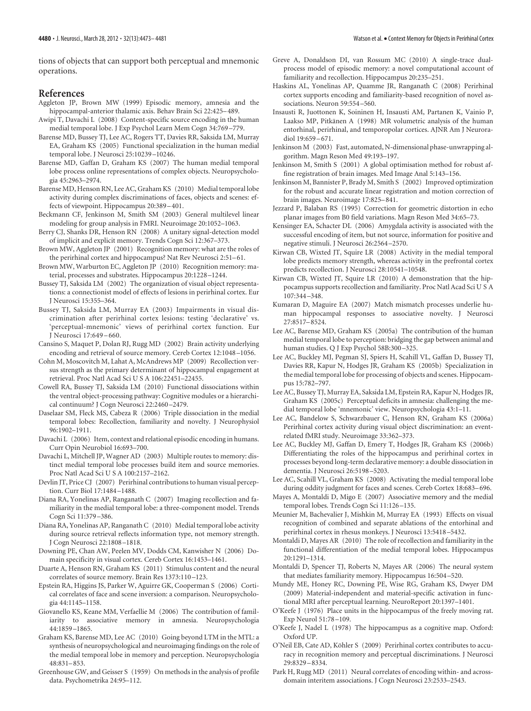tions of objects that can support both perceptual and mnemonic operations.

## **References**

- Aggleton JP, Brown MW (1999) Episodic memory, amnesia and the hippocampal-anterior thalamic axis. Behav Brain Sci 22:425–489.
- Awipi T, Davachi L (2008) Content-specific source encoding in the human medial temporal lobe. J Exp Psychol Learn Mem Cogn 34:769 –779.
- Barense MD, Bussey TJ, Lee AC, Rogers TT, Davies RR, Saksida LM, Murray EA, Graham KS (2005) Functional specialization in the human medial temporal lobe. J Neurosci 25:10239 –10246.
- Barense MD, Gaffan D, Graham KS (2007) The human medial temporal lobe process online representations of complex objects. Neuropsychologia 45:2963–2974.
- Barense MD, Henson RN, Lee AC, Graham KS (2010) Medial temporal lobe activity during complex discriminations of faces, objects and scenes: effects of viewpoint. Hippocampus 20:389 –401.
- Beckmann CF, Jenkinson M, Smith SM (2003) General multilevel linear modeling for group analysis in FMRI. Neuroimage 20:1052–1063.
- Berry CJ, Shanks DR, Henson RN (2008) A unitary signal-detection model of implicit and explicit memory. Trends Cogn Sci 12:367–373.
- Brown MW, Aggleton JP (2001) Recognition memory: what are the roles of the perirhinal cortex and hippocampus? Nat Rev Neurosci 2:51–61.
- Brown MW, Warburton EC, Aggleton JP (2010) Recognition memory: material, processes and substrates. Hippocampus 20:1228 –1244.
- Bussey TJ, Saksida LM (2002) The organization of visual object representations: a connectionist model of effects of lesions in perirhinal cortex. Eur J Neurosci 15:355–364.
- Bussey TJ, Saksida LM, Murray EA (2003) Impairments in visual discrimination after perirhinal cortex lesions: testing 'declarative' vs. 'perceptual-mnemonic' views of perirhinal cortex function. Eur J Neurosci 17:649 –660.
- Cansino S, Maquet P, Dolan RJ, Rugg MD (2002) Brain activity underlying encoding and retrieval of source memory. Cereb Cortex 12:1048 –1056.
- Cohn M, Moscovitch M, Lahat A, McAndrews MP (2009) Recollection versus strength as the primary determinant of hippocampal engagement at retrieval. Proc Natl Acad Sci U S A 106:22451–22455.
- Cowell RA, Bussey TJ, Saksida LM (2010) Functional dissociations within the ventral object-processing pathway: Cognitive modules or a hierarchical continuum? J Cogn Neurosci 22:2460 –2479.
- Daselaar SM, Fleck MS, Cabeza R (2006) Triple dissociation in the medial temporal lobes: Recollection, familiarity and novelty. J Neurophysiol 96:1902–1911.
- Davachi L (2006) Item, context and relational episodic encoding in humans. Curr Opin Neurobiol 16:693–700.
- Davachi L, Mitchell JP, Wagner AD (2003) Multiple routes to memory: distinct medial temporal lobe processes build item and source memories. Proc Natl Acad Sci U S A 100:2157–2162.
- Devlin JT, Price CJ (2007) Perirhinal contributions to human visual perception. Curr Biol 17:1484 –1488.
- Diana RA, Yonelinas AP, Ranganath C (2007) Imaging recollection and familiarity in the medial temporal lobe: a three-component model. Trends Cogn Sci 11:379 –386.
- Diana RA, Yonelinas AP, Ranganath C (2010) Medial temporal lobe activity during source retrieval reflects information type, not memory strength. J Cogn Neurosci 22:1808 –1818.
- Downing PE, Chan AW, Peelen MV, Dodds CM, Kanwisher N (2006) Domain specificity in visual cortex. Cereb Cortex 16:1453–1461.
- Duarte A, Henson RN, Graham KS (2011) Stimulus content and the neural correlates of source memory. Brain Res 1373:110 –123.
- Epstein RA, Higgins JS, Parker W, Aguirre GK, Cooperman S (2006) Cortical correlates of face and scene inversion: a comparison. Neuropsychologia 44:1145–1158.
- Giovanello KS, Keane MM, Verfaellie M (2006) The contribution of familiarity to associative memory in amnesia. Neuropsychologia 44:1859 –1865.
- Graham KS, Barense MD, Lee AC (2010) Going beyond LTM in the MTL: a synthesis of neuropsychological and neuroimaging findings on the role of the medial temporal lobe in memory and perception. Neuropsychologia 48:831–853.
- Greenhouse GW, and Geisser S (1959) On methods in the analysis of profile data. Psychometrika 24:95–112.
- Greve A, Donaldson DI, van Rossum MC (2010) A single-trace dualprocess model of episodic memory: a novel computational account of familiarity and recollection. Hippocampus 20:235–251.
- Haskins AL, Yonelinas AP, Quamme JR, Ranganath C (2008) Perirhinal cortex supports encoding and familiarity-based recognition of novel associations. Neuron 59:554 –560.
- Insausti R, Juottonen K, Soininen H, Insausti AM, Partanen K, Vainio P, Laakso MP, Pitkänen A (1998) MR volumetric analysis of the human entorhinal, perirhinal, and temporopolar cortices. AJNR Am J Neuroradiol 19:659 –671.
- Jenkinson M (2003) Fast, automated, N-dimensional phase-unwrapping algorithm. Magn Reson Med 49:193–197.
- Jenkinson M, Smith S (2001) A global optimisation method for robust affine registration of brain images. Med Image Anal 5:143–156.
- Jenkinson M, Bannister P, Brady M, Smith S (2002) Improved optimization for the robust and accurate linear registration and motion correction of brain images. Neuroimage 17:825–841.
- Jezzard P, Balaban RS (1995) Correction for geometric distortion in echo planar images from B0 field variations. Magn Reson Med 34:65–73.
- Kensinger EA, Schacter DL (2006) Amygdala activity is associated with the successful encoding of item, but not source, information for positive and negative stimuli. J Neurosci 26:2564 –2570.
- Kirwan CB, Wixted JT, Squire LR (2008) Activity in the medial temporal lobe predicts memory strength, whereas activity in the prefrontal cortex predicts recollection. J Neurosci 28:10541–10548.
- Kirwan CB, Wixted JT, Squire LR (2010) A demonstration that the hippocampus supports recollection and familiarity. Proc Natl Acad Sci U S A 107:344 –348.
- Kumaran D, Maguire EA (2007) Match mismatch processes underlie human hippocampal responses to associative novelty. J Neurosci 27:8517–8524.
- Lee AC, Barense MD, Graham KS (2005a) The contribution of the human medial temporal lobe to perception: bridging the gap between animal and human studies. Q J Exp Psychol 58B:300 –325.
- Lee AC, Buckley MJ, Pegman SJ, Spiers H, Scahill VL, Gaffan D, Bussey TJ, Davies RR, Kapur N, Hodges JR, Graham KS (2005b) Specialization in the medial temporal lobe for processing of objects and scenes. Hippocampus 15:782–797.
- Lee AC, Bussey TJ, Murray EA, Saksida LM, Epstein RA, Kapur N, Hodges JR, Graham KS (2005c) Perceptual deficits in amnesia: challenging the medial temporal lobe 'mnemonic' view. Neuropsychologia 43:1–11.
- Lee AC, Bandelow S, Schwarzbauer C, Henson RN, Graham KS (2006a) Perirhinal cortex activity during visual object discrimination: an eventrelated fMRI study. Neuroimage 33:362–373.
- Lee AC, Buckley MJ, Gaffan D, Emery T, Hodges JR, Graham KS (2006b) Differentiating the roles of the hippocampus and perirhinal cortex in processes beyond long-term declarative memory: a double dissociation in dementia. J Neurosci 26:5198 –5203.
- Lee AC, Scahill VL, Graham KS (2008) Activating the medial temporal lobe during oddity judgment for faces and scenes. Cereb Cortex 18:683–696.
- Mayes A, Montaldi D, Migo E (2007) Associative memory and the medial temporal lobes. Trends Cogn Sci 11:126 –135.
- Meunier M, Bachevalier J, Mishkin M, Murray EA (1993) Effects on visual recognition of combined and separate ablations of the entorhinal and perirhinal cortex in rhesus monkeys. J Neurosci 13:5418 –5432.
- Montaldi D, Mayes AR (2010) The role of recollection and familiarity in the functional differentiation of the medial temporal lobes. Hippocampus 20:1291–1314.
- Montaldi D, Spencer TJ, Roberts N, Mayes AR (2006) The neural system that mediates familiarity memory. Hippocampus 16:504 –520.
- Mundy ME, Honey RC, Downing PE, Wise RG, Graham KS, Dwyer DM (2009) Material-independent and material-specific activation in functional MRI after perceptual learning. NeuroReport 20:1397–1401.
- O'Keefe J (1976) Place units in the hippocampus of the freely moving rat. Exp Neurol 51:78 –109.
- O'Keefe J, Nadel L (1978) The hippocampus as a cognitive map. Oxford: Oxford UP.
- O'Neil EB, Cate AD, Köhler S (2009) Perirhinal cortex contributes to accuracy in recognition memory and perceptual discriminations. J Neurosci 29:8329 –8334.
- Park H, Rugg MD (2011) Neural correlates of encoding within- and acrossdomain interitem associations. J Cogn Neurosci 23:2533–2543.